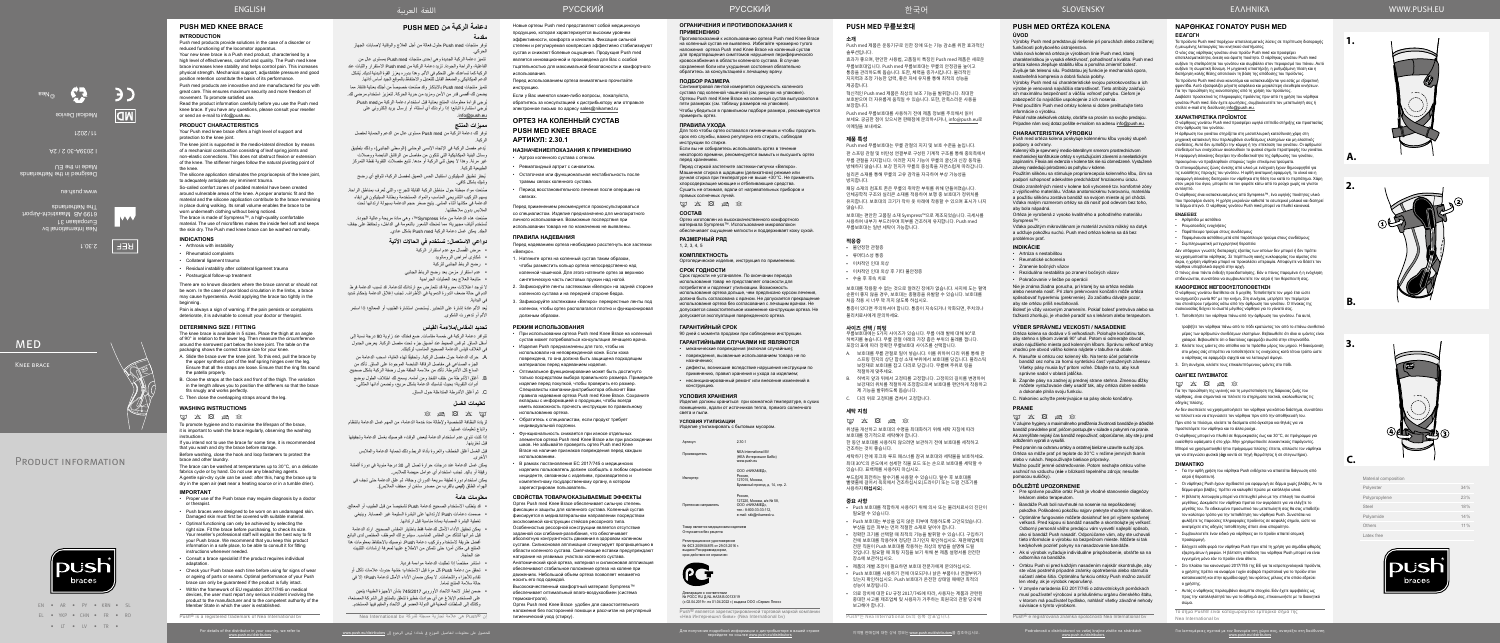

EN • AR • PY • KRN • SL EL • YKP • CHN • FR • RO • IT • IV • TR •

Για λεπτομέρειες σχετικά με τον διανομέα στη χώρα σας, ανατρέξτε στη διεύθυνση

Nea International bv Europalaan 31 6199 AB Maastricht-Airport The Netherlands

2.30.1

تتميز دعامة الركبة الجديدة وهي إحدى منتجات Push med بمستوى عالٍ من الفاعلية، والراحة والجودة. تزيد دعامة الركبة من med Push االستقرار والثبات عند الركبة كما تساعدك على التحكم في الألم. وهذا بدوره يعزز القوة البدنية لديك. يُشكل الدعم الميكانيكي والضغط القابل للتعديل واالحتفاظ بالموقع الجيد أساس أدائها.

www.push.eu

Designed in the Netherlands

Made in the EU

تتميز منتجات Push med بالابتكار وقد صُنعت خصيصاً من أجلك بعناية فائقة. مما يضمن لك أقصى قدر من األمن ومزيد من حرية الحركة. لتعزيز استخدام مرضي لك.

I 2039A-30 2 / 2A

Medical Device

**CR** 

 $LZOZ/IL$ 

**MED** 

©Nea





**1.**

**A.**

**B.**

**C.**

**2.**

**3.**

# **دعامة الركبة من MED PUSH**

يُدعم مفصل الركبة في الإتجاه الإنسي الوحشي (الوسطي الجانبي)، وذلك بتطبيق وسائل البنية الميكانيكية التي تتكون من مفاصل من الرقائق النابضة ووصالت غير مرنة. وهذا ال يعيق ثني الركبة أو مدها. تتبع مفصالت التقوية نقطة التمركز الطبيعية للركبة.

#### **مقدمة** توفر منتجات med Push حلول فعالة من أجل العالج والوقاية إلصابات الجهاز الحركي.

صُنعت مواد مبطنة حول مناطق الركبة القابلة للجرح، والتي تُعرف بمناطق الراحة. يسهم التركيب التشريحي المناسب والمواد المستخدمة وبطانة السيليكون في إبقاء الدعامة في مكانها أثناء المشي. يتيح صغر حجم الدعامة بسهولة ارتدائها تحت المالبس بدون مالحظتها.

يُعد الألم عادة إشارة على التحذير . يُستحسن استشارة الطبيب أو المعالج؛ إذا استمر األلم أو تدهورت الشكوى.

ُيرجى قراءة معلومات المنتج بعناية قبل استخدام دعامة الركبة منmed Push. ُيرجي استشارة البائع؛ إذا راودتك أي أسئلة، أو إرسال بريد إلكتروني على .info@push.eu

# **مميزات المنتج**

توفر لك دعامة الركبة من med Push ِ مستوى عال من الدعم والحماية لمفصل الركبة.

ُ يحفز تطبيق السيليكون استقبال الحس العميق لمفصل الركبة، لتوقع أي رضح وشيك بشكل كافي.

- $\otimes$  a  $\boxtimes$   $\times$   $\boxdot$ لزيادة النظافة الشخصية وإلطالة مدة خدمة الدعامة، من المهم غسل الدعامة بانتظام
- واتباع تعليمات غسلها. إذا كنت تنوي عدم استخدام الدعامة لبعض الوقت، فنوصيك بغسل الدعامة وتجفيفها
- قبل تخزينها. قبل الغسل أغلق الخطاف والعروة بأداة الربط وذلك لحماية الدعامة والمالبس
- الأخر ي. يمكن غسل الدعامة عند درجات حرارة تصل إلى 30 درجة مئوية في دورة أقمشة
- رقيقة أو باليد. تجنب استخدام أي عوامل مبيضة للمالبس. يمكن استخدام دورة لطيفة سريعة الدوران وجافة، ثم علق الدعامة حتى تجف في
- الهواء الطلق )**ليس** بالقرب من مصدر ساخن أو مجفف المالبس(.

ًصنعت هذه الدعامة من مادة Sympress™، وهي مادة مريحة وعالية الجودة. ُستخدم ألياف مجهرية؛ مما تمنحك الشعور بالنعومة في الداخل، وتحافظ على جفاف ت الجلد. يمكن غسل دعامة الركبة med Push بشكل عادي.

## **دواعي االستعمال: تستخدم في الحاالت اآلتية**

- ُصال مع عدم استقرار الركبة مرض الف
- 
- 
- 
- 

ف إن RPush هي عالمة تجارية مسجلة لشركة bv International Nea

ال توجد اعتالالت معروفة قد تتعارض مع ارتدائك للدعامة. قد تسبب الدعامة فرط الدم في حالة ضعف الدورة الدموية في األطراف. تجنب إغالق الدعامة بإحكام شديد في البداية.

> Россия,<br>127220, Москва, а/я № 58, ООО «НИКАМЕД», тел.: 8-800-33-33-112, e-mail: skk@nikamed.ru.

## **تحديد المقاس/مالءمة القياس**

.<br>Говар является медицинским изделием Отпускается без рецепта Регистрационное удостоверение № ФСЗ 2009/04876 от 29.03.2016 г. выдано Росздравнадзором, срок действия не ограничен

Декларация о соответствии<br>№ РОСС RU Д-NL.НА38.В.00133/19

تتوافر دعامة الركبة في خمسة مقاسات. ضع فخذك عند زاوية 90 درجة نسبة إلى أسفل الساق. ثم قس المحيط عند أضيق جزء تحت مفصل الركبة. يعرض الجدول في الغالف قياس الدعامة الصحيح المناسب لركبتك.

- . ً حرك الدعامة حول مفصل الركبة. وتحقيقا لهذه الغاية، اسحب الدعامة من الجزء الصناعي في مفاصل الرقاقة النابضة الموجودة على الساق. تأكد من اتساع كل الأشرطة. تأكد من ملاءمة الحلقة حول رضفة الركبة بشكل صحيح.
- . أغلق األشرطة من خلف الفخذ ومن أمامه. يسمح لك اختالف الطول بوضع أدوات التقوية؛ بحيث تناسبك الدعامة بشكل مريح، وتضمن أدائها المثالي.
	- . ثم أغلق األشرطة المتداخلة حول الساق.

## **تعليمات الغسل**

# **معلومات هامة**

- قد يتطلب الاستخدام الصحيح لدعامة Push تشخيصاً من قبل الطبيب أو المعالج. صممت دعامات Push الرتدائها على البشرة السليمة غير المصابة. وينبغي تغطية البشرة المصابة بمادة مناسبة قبل ارتدائها.
- يمكن تحقيق األداء األمثل للدعامة فقط باختيار المقاس الصحيح. ارتد الدعامة قبل شرائها لتتأكد من المقاس المناسب. سيشرح لك الموظف المختص لدى البائع أفضل طريقة الستخدام وتركيب دعامة Push. نوصيك باالحتفاظ بمعلومات هذا المنتج في مكان آمن؛ حتى تتمكن من االطالع عليها لمعرفة إرشادات التثبيت عند الحاجة.
	- ً استشر مختصا إذا تطلبت الدعامة مواءمة فردية.
- تحقق من دعامة Push كل مرة قبل االستخدام؛ خشية حدوث عالمات تآكل أو تقادم لألجزاء واللحامات. ال يمكن ضمان األداء األمثل لدعامة Push؛ إال في حالة سلامة المنتج تماماً.
- ضمن إطار الئحة االتحاد األوروبي 745/2017 بشأن األجهزة الطبية؛ يتعين على المستخدم اإلبالغ عن أي حوادث خطيرة تتعلق بالمنتج إلى الشركة المصنعة، وكذلك إلى السلطات المعنية في الدولة العضو في الآنحاد والمقيم فيها المستخدم.

• Артроз коленного сустава с отеком. • Ревматоилный артрит с синовитом

назначению;

применению, правил хранения и ухода за изделием;

конструкцию.

(НЕА Интернешнл БиВи) www.push.eu

ООО «НИКАМЕД», Россия,<br>127015, Москва, Бумажный проезд, д. 14, стр. 2.

Претензии направлять

**PC** 

Высококачественный комфортный материал Sympress™ обеспечивает оптимальный влаго-воздухообмен (система термоконтроля).

(с 02.04.2019 г. по 01.04.2022 г.) выдана ООО «Сервис Плюс»

«Неартионал» (Nea International box)<br>Пипт биви» (Nea Internati

 شكاوى أمراض الروماتويد رضح الرباط الجانبي للركبة عدم استقرار مزمن بعد رضح الرباط الجانبي متابعة العالج بعد العمليات الجراحية • Период восстановительного лечения после операции на связках. Перед применением рекомендуется проконсультироваться со специалистом. Изделие предназначено для многократного личного использования. Возможные последствия при использовании товара не по назначению не выявлены. **ПРАВИЛА НАДЕВАНИЯ** Перед надеванием ортеза необходимо расстегнуть все застежки «Велкро». 1. Натяните ортез на коленный сустав таким образом, чтобы разместить кольцо ортеза непосредственно над коленной чашечкой. Для этого натяните ортез за верхнюю синтетическую часть листовых пружин над ногой. 2. Зафиксируйте ленты застежками «Велкро» на задней стороне коленного сустава и на передней стороне бедра.

Push® является зарегистрированной торговой маркой компании

#### **ОГРАНИЧЕНИЯ И ПРОТИВОПОКАЗАНИЯ К ПРИМЕНЕНИЮ**

보호대는 편안한 고품질 소재 Sympress™으로 제조되었습니다. 극세사를 —— "큰 논문은 ㅡᆷᇀ ㅡ " oƒ…p.css" —— "ㅡ ",;;; ; ;; ; ; ; ;; ;;<br>사용하여 내부가 부드러우며 피부를 건조하게 유지합니다. Push med

Противопоказаний к использованию ортеза Push med Knee Brace на коленный сустав не выявлено. Избегайте чрезмерно тугого наложения ортеза Push med Knee Brace на коленный сустав для предотвращения симптомов нарушения пери кровоснабжения в области коленного сустава. В случае сохранения боли или ухудшения состояния обязательно обратитесь за консультацией к лечащему врачу.

## **ПОДБОР РАЗМЕРА**

**ГАРАНТИЙНЫЙ СРОК** 90 дней с момента продажи при соблюдении инструкции. **ГАРАНТИЙНЫМИ СЛУЧАЯМИ НЕ ЯВЛЯЮТСЯ** • механические повреждения (включая случайные); • повреждения, вызванные использованием товара не по • дефекты, возникшие вследствие нарушения инструкции по • несанкционированный ремонт или внесение изменений в **УСЛОВИЯ ХРАНЕНИЯ** Изделия должны храниться при комнатной температуре, в сухих помещениях, вдали от источников тепла, прямого солнечного света и пыли. **УСЛОВИЯ УТИЛИЗАЦИИ** Изделие утилизировать с бытовым мусором. Артикул 2.30.1 Производитель NEA International BV Импортер **РАЗМЕРНЫЙ РЯД**  $1, 2, 3, 4, 5$ **КОМПЛЕКТНОСТЬ** Ортопедическое изделие, инструкция по применению **СРОК ГОДНОСТИ** Срок годности не установлен. По окончании периода использования товар не представляет опасности для потребителя и подлежит утилизации. Возможность использования ортеза дольше, чем предписано курсом лечения, должна быть согласована с врачом. Не допускается прекращение использования ортеза без согласования с лечащим врачом. Не допускается самостоятельное изменение конструкции ортеза. Не допускается эксплуатация поврежденного ортеза. степени и регулируемая компрессия эффективно стабилизируют тщательностью для максимальной безопасности и комфортного

Сантиметровой лентой измеряется окружность коленного сустава под коленной чашечкой (см. рисунок на упаковке). Ортезы Push med Knee Brace на коленный сустав выпускаются в пяти размерах (см. таблицу размеров на упаковке). Чтобы убедиться в правильном подборе размера, рекомендуется примерить ортез.

## **ПРАВИЛА УХОДА**

Для того чтобы ортез оставался гигиеничным и чтобы продлить срок его службы, важно регулярно его стирать, соблюдая инструкции по стирке.

Если вы не собираетесь использовать ортез в течение некоторого времени, рекомендуется вымыть и высушить ортез перед хранением.

Перед стиркой застегните застежки-липучки «Велкро». Машинная стирка в щадящем (деликатном) режиме или ручная стирка при температуре не выше +30°C. Не применять хлорсодержащие моющие и отбеливающие средства. Сушить не отжимая, вдали от нагревательных приборов и прямых солнечных лучей.

 $\text{M} \times \text{N} \geqslant \text{N}$ 

## **СОСТАВ**

Ортез изготовлен из высококачественного комфортного материала Sympress™. Использование микроволокон обеспечивает ощущение мягкости и поддерживает кожу сухой.

Новые ортезы Push med представляют собой медицинскую продукцию, которая характеризуется высоким уровнем эффективности, комфорта и качества. Фиксация сильной

сустав и снижают болевые ощущения. Продукция Push med является инновационной и произведена для Вас с особой

использования.

Перед использованием ортеза внимательно прочитайте

инструкцию.

Если у Вас имеются какие-либо вопросы, пожалуйста, обратитесь за консультацией к дистрибьютору или отправьте электронное письмо по адресу sales@nikamed.ru **ОРТЕЗ НА КОЛЕННЫЙ СУСТАВ PUSH MED KNEE BRACE**

**АРТИКУЛ: 2.30.1**

**НАЗНАЧЕНИЕ/ПОКАЗАНИЯ К ПРИМЕНЕНИЮ**

• Остаточная или функциональная нестабильность после

травмы связок коленного сустава.

3. Зафиксируйте застежками «Велкро» перекрестные ленты под коленом, чтобы ортез располагался плотно и функционировал должным образом.

## **РЕЖИМ ИСПОЛЬЗОВАНИЯ**

- При использовании ортеза Push med Knee Brace на коленный сустав может потребоваться консультация лечащего врача.
- Изделия Push предназначены для того, чтобы их использовали на неповрежденной коже. Если кожа повреждена, то она должна быть защищена подходящим материалом перед надеванием изделия.
- Оптимальное функционирование может быть достигнуто только посредством выбора правильного размера. Примерьте изделие перед покупкой, чтобы проверить его размер. Специалисты компании-дистрибьютора объяснят Вам правила надевания ортеза Push med Knee Brace. Сохраните вкладыш с информацией о продукции, чтобы всегда иметь возможность прочесть инструкции по правильному использованию ортеза.
- Обратитесь к специалистам, если продукт требует индивидуальной подгонки.
- Функциональность снижается при износе отдельных элементов ортеза Push med Knee Brace или при расхождении швов. Не забывайте проверять ортез Push med Knee Brace на наличие признаков повреждения перед каждым использованием.
- В рамках постановления ЕС 2017/745 о медицинских изделиях пользователь должен сообщать о любом серьезном инциденте, связанном с изделием, производителю и компетентному государственному органу, в котором зарегистрирован пользователь.

## **СВОЙСТВА ТОВАРА/ОКАЗЫВАЕМЫЕ ЭФФЕКТЫ**

**ΟΔΗΓΙΕΣ ΠΛΥΣΙΜΑΤΟΣ**  $\boxtimes \hspace{0.1cm} \boxtimes \hspace{0.1cm} \boxtimes \hspace{0.1cm} \boxtimes \hspace{0.1cm} \boxtimes \hspace{0.1cm} \boxtimes \hspace{0.1cm} \boxtimes \hspace{0.1cm} \boxtimes \hspace{0.1cm} \end{array}$ 

Ортез Push med Knee Brace обеспечивает сильную степень фиксации и защиты для коленного сустава. Коленный сустав фиксируется в медиалатеральном направлении посредством эксклюзивной конструкции стейсов рессорного типа. Особенностью рессорной конструкции является отсутствие заданной оси сгибания-разгибания, что обеспечивает абсолютную конгруэнтность движения в здоровом коленном суставе. Силиконовая аппликация стимулирует проприоцепцию в области коленного сустава. Смягчающие вставки предупреждают натирание на уязвимых участках коленного сустава. Анатомический крой ортеза, материал и силиконовая аппликация обеспечивают стабильное положение ортеза на колене при движениях. Небольшой объем ортеза позволяет незаметно носить его под одеждой.

Ортез Push med Knee Brace удобен для самостоятельного наложения без посторонней помощи и рассчитан на регулярный гигиенический уход (стирку).

**REF** 

**PUSH MED 무릎보호대**

**소개**

Push med 제품은 운동기구로 인한 장애 또는 기능 감소를 위한 효과적인

• Στο πλαίσιο του κανονισμού 2017/745 της ΕΕ για τα ιατροτεχνολογικά προϊόντα, ο χρήστης πρέπει να αναφέρει τυχόν σοβαρά περιστατικά για το προϊόν στον κατασκευαστή και στην αρμόδια αρχή του κράτους μέλους στο οποίο εδρεύε

솔루션입니다.

효과가 좋으며, 편안한 사용법, 고품질이 특징인 Push med 제품은 새로운 무릎보호대입니다. Push med 무릎보호대는 무릎의 안정감을 높이고 통증을 관리하도록 돕습니다. 또한, 체력을 증가시킵니다. 물리적인 지지력과 조정 가능한 압력, 좋은 자세 유지를 통해 최적의 성능을

제공합니다.

혁신적인 Push med 제품은 최상의 보조 기능을 발휘합니다. 최대한 보호받으며 더 자유롭게 움직일 수 있습니다. 또한, 만족스러운 사용을

보장합니다.

Push med 무릎보호대를 사용하기 전에 제품 정보를 주의해서 읽어 보세요. 궁금한 점이 있으시면 판매점에 문의하시거나, info@push.eu로

이메일을 보내세요. **제품 특성**

Push med 무릎보호대는 무릎 관절의 지지 및 보호 수준을 높입니다. 판 스프링 관절 및 비탄성 연결부로 구성된 기계적 구조를 통해 중외측에서 무릎 관절을 지지합니다. 이러한 지지 기능이 무릎의 굴신과 신장 동작을 방해하지 않습니다. 보강 힌지가 무릎의 중심축을 자연스럽게 따라갑니다. 실리콘 소재를 통해 무릎의 고유 감각을 자극하여 부상 가능성을

Push med products provide solutions in the case of a disorder or reduced functioning of the locomotor apparatus. Your new knee brace is a Push med product, characterised by a high level of effectiveness, comfort and quality. The Push med knee brace increases knee stability and helps control pain. This increases physical strength. Mechanical support, adjustable pressure and good position retention constitute the basis of its performance.

방지합니다.

패딩 소재의 컴포트 존은 무릎의 취약한 부위를 위해 만들어졌습니다. 인체공학적 구조와 실리콘 소재를 적용하여 보행 중 보호대가 정위치를 유지합니다. 보호대의 크기가 작아 옷 아래에 착용할 수 있으며 표시가 나지

않습니다.

무릎보호대는 일반 세탁이 가능합니다.

#### **적응증**

- 불안정한 관절증 • 류머티스성 통증
	- 이차적인 인대 외상
	- 이차적인 인대 외상 후 기타 불안정증

• 수술 후 후속 치료

The silicone application stimulates the propriocepsis of the knee joint to adequately anticipate any imminent trauma.

> 보호대를 착용할 수 없는 것으로 알려진 장애가 없습니다. 사지에 도는 혈액 순환이 좋지 않을 경우, 보호대는 충혈증을 유발할 수 있습니다. 보호대를 처음 착용 시 너무 꽉 끼지 않도록 하십시오.

통증이 있다면 주의하셔야 합니다. 통증이 지속되거나 악화되면, 주치의나 물리치료사에게 문의하세요.

#### **사이즈 선택 / 피팅**

무릎보호대에는 5가지 사이즈가 있습니다. 무릎 아래 발에 대해 90°로 허벅지를 놓습니다. 무릎 관절 아래의 가장 좁은 부위의 둘레를 잽니다. 포장의 표에 따라 정확한 무릎보호대 사이즈를 선택합니다.

- A. 보호대를 무릎 관절로 밀어 넣습니다. 이를 위하여 다리 위를 통해 판 스프링 힌지의 상단 합성 소재 부위에서 보호대를 당깁니다. 플라스틱 보장재로 보호대를 잡고 다리로 당깁니다. 무릎뼈 주위로 링을 적절하게 맞추세요.
- B. 허벅지 앞과 뒤에서 고정띠를 고정합니다. 고정띠의 길이를 변경하여 보강재의 위치를 적절하게 조정함으로써 보호대를 편안하게 착용하고 제 기능을 발휘하도록 돕습니다.
- C. 다리 위로 고정띠를 겹쳐서 고정합니다.

Pain is always a sign of warning. If the pain persists or complaints deteriorate, it is advisable to consult your doctor or therapist.

#### **세탁 지침**

 $\label{eq:2.1} \begin{array}{lll} \hline \boxtimes \times \boxtimes \otimes \boxtimes \times \end{array}$ 

위생을 개선하고 보호대의 수명을 최대화하기 위해 세탁 지침에 따라 보호대를 정기적으로 세탁해야 합니다.

한 동안 보호대를 사용하지 않으려면 보관하기 전에 보호대를 세척하고 건조하는 것이 좋습니다.

세탁하기 전에 후크와 루프 패스너를 잠궈 보호대와 세탁물을 보호하세요. 최대 30°C의 온도에서 섬세한 직물 모드 또는 손으로 보호대를 세탁할 수 있습니다. 표백제를 사용하지 마십시오.

부드럽게 회전하는 탈수기를 사용할 수 있습니다. 탈수 후 보호대를 빨랫줄에 걸어서 옥외에서 건조하십시오(드라이기 또는 드럼 건조기를 사용하지 **마십시오**).

#### **중요 사항**

- Push 보호대를 적합하게 사용하기 위해 의사 또는 물리치료사의 진단이 필요할 수 있습니다.
- Push 보호대는 부상을 입지 않은 피부에 착용하도록 고안되었습니다. 부상을 입은 피부는 먼저 적절한 소재로 덮어야 합니다.
- 정확한 크기를 선택할 때 최적의 기능을 발휘할 수 있습니다. 구입하기 전에 보호대를 착용하여 정당한 크기인지 확인하십시오. 재판매업체의 전문 직원이 Push 보호대를 착용하는 최상의 방법을 설명해 드릴 것입니다. 필요할 때 피팅 지침을 보기 위해 본 제품 설명서를 안전한 장소에 보관하십시오.
- 제품의 개별 조정이 필요하면 보호대 전문가에게 문의하십시오.
- Push 보호대를 사용하기 전에 마모되거나 낡은 부품이나 연결부위가 있는지 확인하십시오. Push 보호대가 온전한 상태일 때에만 최적의 성능이 보장됩니다.
- 의료 장치에 대한 EU 규정 2017/745에 따라, 사용자는 제품과 관련된 중대한 사고를 제조업체 및 사용자가 거주하는 회원국의 관할 당국에 보고해야 합니다.

# для получения подробной информации о дистрибьюторе в вашей стране для получения подробного дря для получения подробного дря для получения подробного дря для получения подробного дря для получения подробного дря для дря д

한국어

## **PUSH MED ORTÉZA KOLENA ÚVOD**

Výrobky Push med predstavujú riešenie pri poruchách alebo zníženej funkčnosti pohybového ústrojenstva.

Vaša nová kolenná ortéza je výrobkom línie Push med, ktorej charakteristikou je vysoká efektívnosť, pohodlnosť a kvalita. Push med ortéza kolena zlepšuje stabilitu kĺbu a pomáha zmierniť bolesť. Zvyšuje tak telesnú silu. Podstatou jej funkcie je mechanická opora, nastaviteľná kompresia a dobrá fixácia polohy.

Výrobky Push med sú charakteristické svojou pokrokovosťou a ich výrobe je venovaná najväčšia starostlivosť. Tieto atribúty zaisťujú ich maximálnu bezpečnosť a väčšiu voľnosť pohybu. Cieľom je zabezpečiť čo najväčšie uspokojenie z ich nosenia.

Pred použitím Push med ortézy kolena si dobre preštudujte tieto informácie o výrobku.

Pokiaľ máte akékoľvek otázky, obráťte sa prosím na svojho predajcu. Prípadne nám svoj dotaz pošlite e-mailom na adresu info@push.eu.

# **CHARAKTERISTIKA VÝROBKU**

Push med ortéza kolena poskytuje kolennému kĺbu vysoký stupeň podpory a ochrany.

Kolenný kĺb je spevnený medio-laterálnym smerom prostredníctvom mechanickej konštrukcie ortézy s vystužujúcimi závesmi a neelastickým zapínaním. Flexia ani extenzia v kolene tak nie sú obmedzené. Vystužené závesy nasledujú prirodzenú os pohybu v kolene.

Použitím silikónu sa stimuluje propriorecepcia kolenného kĺbu, čím sa podporí schopnosť adekvátne predchádzať hroziacemu úrazu.

Okolo zraniteľných miest v kolene boli vytvorené tzv. komfortné zóny z výplňového materiálu. Vďaka anatomickému tvarovaniu, materiálu a použitiu silikónu zostáva bandáž na svojom mieste aj pri chôdzi. Vďaka malým rozmerom ortézy sa dá nosiť pod odevom bez toho, aby bola nápadná.

Ortéza je vyrobená z vysoko kvalitného a pohodlného materiálu Sympress™.

Vďaka použitým mikrovláknam je materiál zvnútra mäkký na dotyk a udržuje pokožku suchú. Push med ortéza kolena sa dá bez problémov prať.

#### **INDIKÁCIE**

- Artróza s nestabilitou
- Reumatické ochorenia
- Zranenie bočných väzov • Reziduálna nestabilita po zranení bočných väzov
- Pokračovanie v liečbe po operácii

Nie je známa žiadna porucha, pri ktorej by sa ortéza nedala alebo nesmela nosiť. Pri zlom prekrvovaní končatín môže ortéza spôsobovať hyperémiu (prekrvenie). Zo začiatku dávajte pozor, aby ste ortézu príliš neuťahovali.

Bolesť je vždy varovným znamením. Pokiaľ bolesť pretrváva alebo sa ťažkosti zhoršujú, je vhodné poradiť sa s lekárom alebo terapeutom.

#### **VÝBER SPRÁVNEJ VEĽKOSTI / NASADENIE**

Ortéza kolena sa dodáva v 5 veľkostiach. Polohujte končatinu tak, aby stehno s lýtkom zvierali 90° uhol. Potom si odmerajte obvod okolo najužšieho miesta pod kolenným kĺbom. Správnu veľkosť ortézy vhodnú pre obvod vášho kolena nájdete v tabuľke na obale.

- A. Nasuňte si ortézu cez kolenný kĺb. Na tento účel potiahnite bandáž cez nohu za hornú syntetickú časť vystužených závesov. Všetky pásy musia byť pritom voľné. Dbajte na to, aby kruh správne sadol v oblasti jabĺčka.
- B. Zapnite pásy na zadnej aj prednej strane stehna. Zmenou dĺžky môžete vystužovacie diely usadiť tak, aby ortéza dobre sedela a dokonale plnila svoju funkciu.
- C. Nakoniec uchyťte prekrývajúce sa pásy okolo končatiny.

## **PRANIE**

 $\boxtimes \hspace{0.1cm} \boxtimes \hspace{0.1cm} \boxtimes \hspace{0.1cm} \boxtimes \hspace{0.1cm} \boxtimes \hspace{0.1cm} \boxtimes \hspace{0.1cm} \boxtimes$ 

V záujme hygieny a maximálneho predĺženia životnosti bandáže je dôležité bandáž pravidelne prať, pričom postupujte v súlade s pokynmi na pranie. Ak zamýšľate nejaký čas bandáž nepoužívať, odporúčame, aby ste ju pred odložením vyprali a vysušili.

Pred praním na ochranu ortézy a ostatnej bielizne uzavrite suchý zips. Ortéza sa môže prať pri teplote do 30°C v režime jemných tkanín alebo v rukách. Nepoužívajte bieliace prípravky.

Možno použiť jemné odstreďovanie. Potom nechajte ortézu voľne uschnúť na vzduchu (**nie** v blízkosti tepelného zdroja; nesušte pomocou sušičky).

#### **DÔLEŽITÉ UPOZORNENIE**

• Pre správne použitie ortéz Push je vhodné stanovenie diagnózy lekárom alebo terapeutom.

- Bandáže Push boli navrhnuté na nosenie na nepoškodenej pokožke. Poškodenú pokožku najprv prekryte vhodným materiálom.
- Optimálne fungovanie môžete dosiahnuť len pri výbere správnej veľkosti. Pred kúpou si bandáž nasaďte a skontrolujte jej veľkosť. Odborný personál vášho predajcu vám vysvetlí najlepší spôsob, ako si bandáž Push nasadiť. Odporúčame vám, aby ste uchovali tieto informácie o výrobku na bezpečnom mieste. Môžete si tak kedykoľvek pozrieť pokyny na nasadzovanie bandáže.
- Ak si výrobok vyžaduje individuálne prispôsobenie, obráťte sa na odborníka na bandáže.
- Ortézu Push si pred každým nasadením najskôr skontrolujte, aby ste včas postrehli prípadné známky opotrebenia alebo starnutia súčastí alebo šitia. Optimálnu funkciu ortézy Push možno zaručiť len vtedy, ak je výrobok neporušený.
- V zmysle nariadenia EÚ 2017/745 o zdravotníckych pomôckach musí používateľ výrobcovi a príslušnému orgánu členského štátu, v ktorom má používateľ bydlisko, nahlásiť všetky závažné nehody súvisiace s týmto výrobkom.

Podrobnosti o distribútorovi vo vašej krajine zistíte na stránkách<br>www.push.eu/distributors

# **ΝΑΡΘΗΚΑΣ ΓΟΝΑΤΟΥ PUSH MED**

**ΕΙΣΑΓΩΓΗ**

Τα προϊόντα Push med παρέχουν αποτελεσματικές λύσεις σε περίπτωση διαταραχής ή μειωμένης λειτουργίας του κινητικού συστήματος.

Ο νέος σας νάρθηκας γονάτου είναι προϊόν Push med και προσφέρει αποτελεσματικότητα, άνεση και άριστη ποιότητα. Ο νάρθηκας γονάτου Push med αυξάνει τη σταθερότητα του γονάτου και συμβάλλει στον περιορισμό του πόνου. Αυτό αυξάνει τη σωματική δύναμη. Η μηχανική υποστήριξη, η ρυθμιζόμενη πίεση και η διατήρηση καλής θέσης αποτελούν τη βάση της απόδοσης του προϊόντος. Τα προϊόντα Push med είναι καινοτόμα και κατασκευάζονται για εσάς με εξαιρετική

φροντίδα. Αυτό εξασφαλίζει μέγιστη ασφάλεια και μεγαλύτερη ελευθερία κινήσεων. Για την προώθηση της ικανοποίησης από τη χρήση του προϊόντος. Διαβάστε προσεκτικά τις πληροφορίες προϊόντος πριν από τη χρήση του νάρθηκα

γονάτου Push med. Εάν έχετε ερωτήσεις, συμβουλευτείτε τον μεταπωλητή σας ή στείλτε e-mail στη διεύθυνση info@push.eu.

#### **ΧΑΡΑΚΤΗΡΙΣΤΙΚΑ ΠΡΟΪΟΝΤΟΣ**

Ο νάρθηκας γονάτου Push med προσφέρει υψηλό επίπεδο στήριξης και προστασίας στην άρθρωση του γονάτου.

Η άρθρωση του γονάτου στηρίζεται στη μεσοπλευρική κατεύθυνση χάρη στη μηχανική κατασκευή που περιλαμβάνει συνδέσμους ελατηρίων και μη ελαστικές συνδέσεις. Αυτό δεν εμποδίζει την κάμψη ή την επέκταση του γονάτου. Οι αρθρωτοί σύνδεσμοί των ενισχύσεων ακολουθούν το φυσικό σημείο περιστροφής του γονάτου. Η εφαρμογή σιλικόνης διεγείρει την ιδιοδεκτικότητα της άρθρωσης του γονάτου, προκειμένου να προβλεφθούν επαρκώς τυχόν επικείμενα τραύματα.

Οι επονομαζόμενες ζώνες άνεσης από υλικό με ενίσχυση έχουν δημιουργηθεί για τις ευαίσθητες περιοχές του γονάτου. Η ορθή ανατομική εφαρμογή, το υλικό και η εφαρμογή σιλικόνης διατηρούν τον νάρθηκα στη θέση του κατά το περπάτημα. Χάρη στον μικρό του όγκο, μπορείτε να τον φοράτε κάτω από τα ρούχα χωρίς να γίνεται αντιληπτό.

Ο νάρθηκας είναι κατασκευασμένος από Sympress™, ένα υψηλής ποιότητας υλικό που προσφέρει άνεση. Η χρήση μικροϊνών καθιστά το εσωτερικό μαλακό και διατηρεί το δέρμα στεγνό. Ο νάρθηκας γονάτου Push med μπορεί να πλυθεί κανονικά.

## **ΕΝΔΕΙΞΕΙΣ**

• Αρθρίτιδα με αστάθεια • Ρευματοειδείς ενοχλήσεις

- Παράπλευρο τραύμα στους συνδέσμους
- Παραμένουσα αστάθεια μετά από παράπλευρο τραύμα στους συνδέσμους • Συμπληρωματική μετεγχειρητική θεραπεία
- Δεν υπάρχουν γνωστές διαταραχές εξαιτίας των οποίων δεν μπορεί ή δεν πρέπει

να χρησιμοποιείται νάρθηκας. Σε περίπτωση κακής κυκλοφορίας του αίματος στα άκρα, η χρήση νάρθηκα μπορεί να προκαλέσει υπεραιμία. Αποφύγετε να δέσετε τον νάρθηκα υπερβολικά σφιχτά στην αρχή. Ο πόνος είναι πάντα ένδειξη προειδοποίησης. Εάν ο πόνος παραμένει ή η ενόχληση

επιδεινώνεται, συνιστάται να συμβουλευτείτε τον ιατρό ή τον θεραπευτή σας.

#### **ΚΑΘΟΡΙΣΜΟΣ ΜΕΓΕΘΟΥΣ/ΤΟΠΟΘΕΤΗΣΗ**

Ο νάρθηκας γονάτου διατίθεται σε 5 μεγέθη. Τοποθετήστε τον μηρό έτσι ώστε να σχηματίζει γωνία 90° με την κνήμη. Στη συνέχεια, μετρήστε την περίμετρο του στενότερου τμήματος κάτω από την άρθρωση του γονάτου. Ο πίνακας της συσκευασίας δείχνει το σωστό μέγεθος νάρθηκα για το γόνατό σας. 1. Τοποθετήστε τον νάρθηκα πάνω από την άρθρωση του γονάτου. Για αυτό,

τραβήξτε τον νάρθηκα πάνω από το πόδι κρατώντας τον από το επάνω συνθετικό μέρος των αρθρωτών συνδέσμων ελατηρίων. Βεβαιωθείτε ότι όλοι οι ιμάντες είναι χαλαροί. Βεβαιωθείτε ότι ο δακτύλιος εφαρμόζει σωστά στην επιγονατίδα.

- 2. Κλείστε τους ιμάντες στο οπίσθιο και το πρόσθιο μέρος του μηρού. Η διακύμανση στο μήκος σάς επιτρέπει να τοποθετήσετε τις ενισχύσεις κατά τέτοιο τρόπο ώστε ο νάρθηκας να εφαρμόζει σφιχτά και να λειτουργεί άψογα.
- 3. Στη συνέχεια, κλείστε τους επικαλυπτόμενους ιμάντες στο πόδι.

Για την προώθηση της υγιεινής και τη μεγιστοποίηση της διάρκειας ζωής του νάρθηκας, είναι σημαντικό να πλένετε τα στηρίγματα τακτικά, ακολουθώντας τις

οδηγίες πλύσης.

Αν δεν σκοπεύετε να χρησιμοποιήσετε τον νάρθηκα για κάποιο διάστημα, συνιστάται να πλύνετε και να στεγνώσετε τον νάρθηκα πριν από την αποθήκευσή του. Πριν από το πλύσιμο, κλείστε τα δεσίματα από άγκιστρα και θηλιές για να

προστατέψετε τον νάρθηκα και τα άλλα ρούχα.

Ο νάρθηκας μπορεί να πλυθεί σε θερμοκρασίες έως και 30°C, σε πρόγραμμα για ευαίσθητα υφάσματα ή στο χέρι. Μην χρησιμοποιείτε λευκαντικούς παράγοντες. Μπορεί να χρησιμοποιηθεί ήπιο πρόγραμμα πλύσης: έπειτα, απλώστε τον νάρθηκα για να στεγνώσει φυσικά (**όχι** κοντά σε πηγή θερμότητας ή σε στεγνωτήριο).

.<br>• Για την ορθή χρήση του νάρθηκα Push ενδέχεται να απαιτείται διάγνωση απ

**ΣΗΜΑΝΤΙΚΟ**

ιατρό ή θεραπευτή.

• Οι νάρθηκες Push έχουν σχεδιαστεί για εφαρμογή σε δέρμα χωρίς βλάβες. Αν το δέρμα φέρει βλάβες, πρέπει να καλυφθεί πρώτα με κατάλληλο υλικό. • Η βέλτιστη λειτουργία μπορεί να επιτευχθεί μόνο με την επιλογή του σωστού μεγέθους. Δοκιμάστε τον νάρθηκα προτού τον αγοράσετε για να ελέγξτε το μέγεθός του. Το ειδικευμένο προσωπικό του μεταπωλητή σας θα σας υποδείξει τον καλύτερο τρόπο για την τοποθέτηση του νάρθηκα Push. Συνιστάται να φυλάξετε τις παρούσες πληροφορίες προϊόντος σε ασφαλές σημείο, ώστε να ανατρέχετε στις οδηγίες τοποθέτησης όποτε είναι απαραίτητο. • Συμβουλευτείτε έναν ειδικό για νάρθηκες αν το προϊόν απαιτεί ατομική

προσαρμογή.

• Ελέγχετε κάθε φορά τον νάρθηκα Push πριν από τη χρήση για σημάδια φθοράς εξαρτημάτων ή ραφών. Η βέλτιστη απόδοση του νάρθηκα Push μπορεί να είναι

εγγυημένη μόνο εάν το προϊόν είναι άθικτο.

ο χρήστης.

• Αυτός ο νάρθηκας περιλαμβάνει άκαμπτα στοιχεία. Εάν έχετε αμφιβολίες ως προς την καταλληλότητά του για το άθλημά σας, επικοινωνήστε με το διοικητικό

σώμα.

Το σήμα Push® είναι καταχωρισμένο εμπορικό σήμα της

Nea International bv

ΕΛΛΗΝΙΚΆ

## **PUSH MED KNEE BRACE INTRODUCTION**

Push med products are innovative and are manufactured for you with great care. This ensures maximum security and more freedom of movement. To promote satisfied use.

Read the product information carefully before you use the Push med knee brace. If you have any questions, please consult your reseller or send an e-mail to info@push.eu.

# **PRODUCT CHARACTERISTICS**

Your Push med knee brace offers a high level of support and protection to the knee joint.

The knee joint is supported in the medio-lateral direction by means of a mechanical construction consisting of leaf spring joints and non-elastic connections. This does not obstruct flexion or extension of the knee. The stiffener hinges follow the natural pivoting point of the knee.

So-called comfort zones of padded material have been created around vulnerable areas of the knee. A proper anatomic fit and the material and the silicone application contribute to the brace remaining in place during walking. Its small volume enables the brace to be worn underneath clothing without being noticed.

The brace is made of Sympress™, a high-quality comfortable material. The use of microfibres makes the inside feel soft and keeps the skin dry. The Push med knee brace can be washed normally.

# **INDICATIONS**

- Arthrosis with instability • Rheumatoid complaints
- 
- Collateral ligament trauma • Residual instability after collateral ligament trauma
- Postsurgical follow-up treatment

There are no known disorders where the brace cannot or should not be worn. In the case of poor blood circulation in the limbs, a brace may cause hyperaemia. Avoid applying the brace too tightly in the beginning.

## **DETERMINING SIZE / FITTING**

The knee brace is available in 5 sizes. Place the thigh at an angle of 90° in relation to the lower leg. Then measure the circumference around the narrowest part below the knee joint. The table on the packaging shows the correct brace size for your knee.

- A. Slide the brace over the knee joint. To this end, pull the brace by the upper synthetic part of the leaf spring hinges over the leg. Ensure that all the straps are loose. Ensure that the ring fits round the patella properly.
- B. Close the straps at the back and front of the thigh. The variation in the length allows you to position the stiffeners so that the brace fits snugly and works perfectly.
- C. Then close the overlapping straps around the leg.

# **WASHING INSTRUCTIONS**

## $\boxtimes$   $\boxtimes$   $\boxtimes$   $\boxtimes$

To promote hygiene and to maximise the lifespan of the brace, it is important to wash the brace regularly, observing the washing instructions.

If you intend not to use the brace for some time, it is recommended that you wash and dry the brace before storage. Before washing, close the hook and loop fasteners to protect the

brace and other laundry. The brace can be washed at temperatures up to 30°C, on a delicate fabrics cycle or by hand. Do not use any bleaching agents. A gentle spin-dry cycle can be used: after this, hang the brace up to

dry in the open air (**not** near a heating source or in a tumble drier). **IMPORTANT**

- Proper use of the Push brace may require diagnosis by a doctor or therapist.
- Push braces were designed to be worn on an undamaged skin. Damaged skin must first be covered with suitable material.
- Optimal functioning can only be achieved by selecting the right size. Fit the brace before purchasing, to check its size. Your reseller's professional staff will explain the best way to fit your Push brace. We recommend that you keep this product information in a safe place, to be able to consult it for fitting instructions whenever needed.
- Consult a brace specialist if the product requires individual adaptation.
- $\cdot$  Check your Push brace each time before using for signs of wear or ageing of parts or seams. Optimal performance of your Push brace can only be guaranteed if the product is fully intact.
- Within the framework of EU regulation 2017/745 on medical devices, the user must report any serious incident involving the product to the manufacturer and to the competent authority of the Member State in which the user is established.

Push® is a registered trademark of Nea International bv

For details of the distributor in your country, we refer to معلومات لتفاصيل الموزع في بلدك؛ يُرجى الرجوع إلى www.<u>push.eu/distributors</u><br>www.<u>push.eu/distributors</u> s of the distributor in your country, we refer to

Knee brace